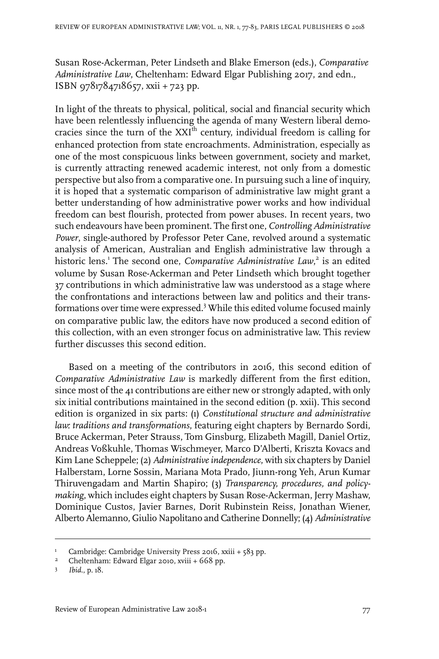Susan Rose-Ackerman, Peter Lindseth and Blake Emerson (eds.), *Comparative Administrative Law*, Cheltenham: Edward Elgar Publishing 2017, 2nd edn., ISBN 9781784718657, xxii + 723 pp.

In light of the threats to physical, political, social and financial security which have been relentlessly influencing the agenda of many Western liberal democracies since the turn of the XXI<sup>th</sup> century, individual freedom is calling for enhanced protection from state encroachments. Administration, especially as one of the most conspicuous links between government, society and market, is currently attracting renewed academic interest, not only from a domestic perspective but also from a comparative one. In pursuing such a line of inquiry, it is hoped that a systematic comparison of administrative law might grant a better understanding of how administrative power works and how individual freedom can best flourish, protected from power abuses. In recent years, two such endeavours have been prominent. The first one, *Controlling Administrative Power*, single-authored by Professor Peter Cane, revolved around a systematic analysis of American, Australian and English administrative law through a historic lens.<sup>1</sup> The second one, *Comparative Administrative Law*, 2 is an edited volume by Susan Rose-Ackerman and Peter Lindseth which brought together 37 contributions in which administrative law was understood as a stage where the confrontations and interactions between law and politics and their transformations over time were expressed.<sup>3</sup> While this edited volume focused mainly on comparative public law, the editors have now produced a second edition of this collection, with an even stronger focus on administrative law. This review further discusses this second edition.

Based on a meeting of the contributors in 2016, this second edition of *Comparative Administrative Law* is markedly different from the first edition, since most of the 41 contributions are either new or strongly adapted, with only six initial contributions maintained in the second edition (p. xxii). This second edition is organized in six parts: (1) *Constitutional structure and administrative law: traditions and transformations*, featuring eight chapters by Bernardo Sordi, Bruce Ackerman, Peter Strauss, Tom Ginsburg, Elizabeth Magill, Daniel Ortiz, Andreas Voßkuhle, Thomas Wischmeyer, Marco D'Alberti, Kriszta Kovacs and Kim Lane Scheppele; (2) *Administrative independence*, with six chapters by Daniel Halberstam, Lorne Sossin, Mariana Mota Prado, Jiunn-rong Yeh, Arun Kumar Thiruvengadam and Martin Shapiro; (3) *Transparency, procedures, and policymaking*, which includes eight chapters by Susan Rose-Ackerman, Jerry Mashaw, Dominique Custos, Javier Barnes, Dorit Rubinstein Reiss, Jonathan Wiener, Alberto Alemanno, Giulio Napolitano and Catherine Donnelly; (4) *Administrative*

<sup>&</sup>lt;sup>1</sup> Cambridge: Cambridge University Press 2016, xxiii + 583 pp.

<sup>&</sup>lt;sup>2</sup> Cheltenham: Edward Elgar 2010, xviii +  $668$  pp.

*Ibid.*, p. 18.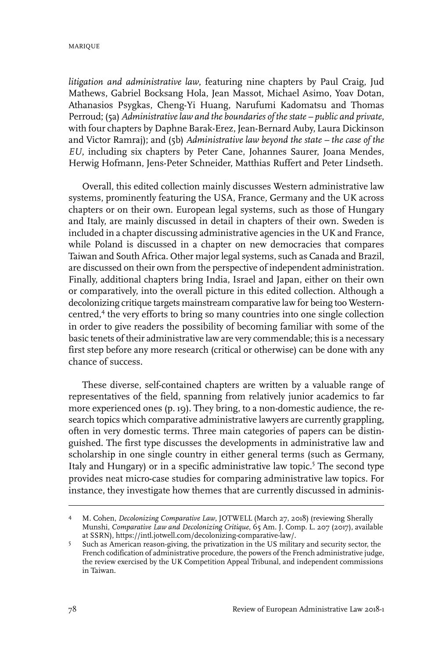*litigation and administrative law*, featuring nine chapters by Paul Craig, Jud Mathews, Gabriel Bocksang Hola, Jean Massot, Michael Asimo, Yoav Dotan, Athanasios Psygkas, Cheng-Yi Huang, Narufumi Kadomatsu and Thomas Perroud; (5a) *Administrativelaw and the boundaries of thestate – public and private*, with four chapters by Daphne Barak-Erez, Jean-Bernard Auby, Laura Dickinson and Victor Ramraj); and (5b) *Administrative law beyond the state – the case of the EU*, including six chapters by Peter Cane, Johannes Saurer, Joana Mendes, Herwig Hofmann, Jens-Peter Schneider, Matthias Ruffert and Peter Lindseth.

Overall, this edited collection mainly discusses Western administrative law systems, prominently featuring the USA, France, Germany and the UK across chapters or on their own. European legal systems, such as those of Hungary and Italy, are mainly discussed in detail in chapters of their own. Sweden is included in a chapter discussing administrative agencies in the UK and France, while Poland is discussed in a chapter on new democracies that compares Taiwan and South Africa. Other major legal systems, such as Canada and Brazil, are discussed on their own from the perspective of independent administration. Finally, additional chapters bring India, Israel and Japan, either on their own or comparatively, into the overall picture in this edited collection. Although a decolonizing critique targets mainstream comparative law for being too Westerncentred,<sup>4</sup> the very efforts to bring so many countries into one single collection in order to give readers the possibility of becoming familiar with some of the basic tenets of their administrative law are very commendable; this is a necessary first step before any more research (critical or otherwise) can be done with any chance of success.

These diverse, self-contained chapters are written by a valuable range of representatives of the field, spanning from relatively junior academics to far more experienced ones (p. 19). They bring, to a non-domestic audience, the research topics which comparative administrative lawyers are currently grappling, often in very domestic terms. Three main categories of papers can be distinguished. The first type discusses the developments in administrative law and scholarship in one single country in either general terms (such as Germany, Italy and Hungary) or in a specific administrative law topic.<sup>5</sup> The second type provides neat micro-case studies for comparing administrative law topics. For instance, they investigate how themes that are currently discussed in adminis-

M. Cohen, *Decolonizing Comparative Law*, JOTWELL (March 27, 2018) (reviewing Sherally 4 Munshi, *Comparative Law and Decolonizing Critique*, 65 Am. J. Comp. L. 207 (2017), available at SSRN), https://intl.jotwell.com/decolonizing-comparative-law/.

Such as American reason-giving, the privatization in the US military and security sector, the French codification of administrative procedure, the powers of the French administrative judge, 5 the review exercised by the UK Competition Appeal Tribunal, and independent commissions in Taiwan.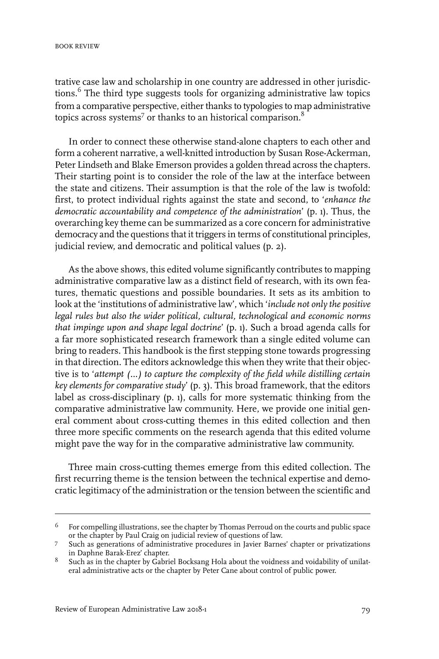trative case law and scholarship in one country are addressed in other jurisdictions.<sup>6</sup> The third type suggests tools for organizing administrative law topics from a comparative perspective, either thanks to typologies to map administrative topics across systems $^7$  or thanks to an historical comparison. $^8$ 

In order to connect these otherwise stand-alone chapters to each other and form a coherent narrative, a well-knitted introduction by Susan Rose-Ackerman, Peter Lindseth and Blake Emerson provides a golden thread across the chapters. Their starting point is to consider the role of the law at the interface between the state and citizens. Their assumption is that the role of the law is twofold: first, to protect individual rights against the state and second, to '*enhance the democratic accountability and competence of the administration*' (p. 1). Thus, the overarching key theme can be summarized as a core concern for administrative democracy and the questions that it triggers in terms of constitutional principles, judicial review, and democratic and political values (p. 2).

As the above shows, this edited volume significantly contributes to mapping administrative comparative law as a distinct field of research, with its own features, thematic questions and possible boundaries. It sets as its ambition to look at the 'institutions of administrative law', which '*include not only the positive legal rules but also the wider political, cultural, technological and economic norms that impinge upon and shape legal doctrine*' (p. 1). Such a broad agenda calls for a far more sophisticated research framework than a single edited volume can bring to readers. This handbook is the first stepping stone towards progressing in that direction. The editors acknowledge this when they write that their objective is to '*attempt (…) to capture the complexity of the field while distilling certain key elements for comparative study*' (p. 3). This broad framework, that the editors label as cross-disciplinary (p. 1), calls for more systematic thinking from the comparative administrative law community. Here, we provide one initial general comment about cross-cutting themes in this edited collection and then three more specific comments on the research agenda that this edited volume might pave the way for in the comparative administrative law community.

Three main cross-cutting themes emerge from this edited collection. The first recurring theme is the tension between the technical expertise and democratic legitimacy of the administration or the tension between the scientific and

For compelling illustrations, see the chapter by Thomas Perroud on the courts and public space or the chapter by Paul Craig on judicial review of questions of law. 6

Such as generations of administrative procedures in Javier Barnes' chapter or privatizations in Daphne Barak-Erez' chapter. 7

Such as in the chapter by Gabriel Bocksang Hola about the voidness and voidability of unilateral administrative acts or the chapter by Peter Cane about control of public power. 8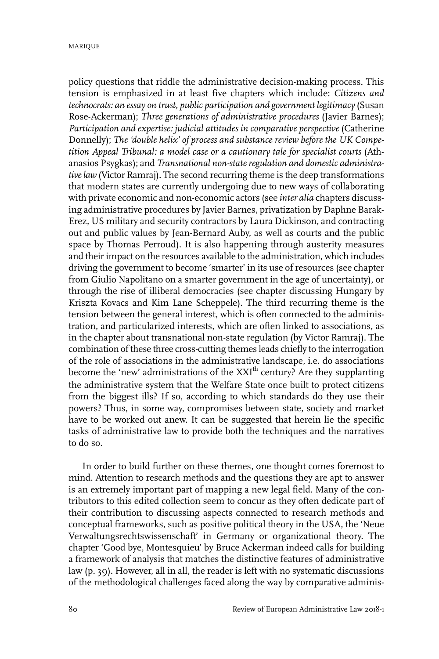MARIQUE

policy questions that riddle the administrative decision-making process. This tension is emphasized in at least five chapters which include: *Citizens and technocrats: an essay on trust, public participation and government legitimacy* (Susan Rose-Ackerman); *Three generations of administrative procedures* (Javier Barnes); *Participation and expertise: judicial attitudes in comparative perspective* (Catherine Donnelly); *The 'double helix' of process and substance review before the UK Competition Appeal Tribunal: a model case or a cautionary tale for specialist courts* (Athanasios Psygkas); and *Transnational non-state regulation and domestic administrativelaw* (Victor Ramraj). The second recurring theme is the deep transformations that modern states are currently undergoing due to new ways of collaborating with private economic and non-economic actors (see *inter alia* chapters discussing administrative procedures by Javier Barnes, privatization by Daphne Barak-Erez, US military and security contractors by Laura Dickinson, and contracting out and public values by Jean-Bernard Auby, as well as courts and the public space by Thomas Perroud). It is also happening through austerity measures and their impact on the resources available to the administration, which includes driving the government to become 'smarter' in its use of resources (see chapter from Giulio Napolitano on a smarter government in the age of uncertainty), or through the rise of illiberal democracies (see chapter discussing Hungary by Kriszta Kovacs and Kim Lane Scheppele). The third recurring theme is the tension between the general interest, which is often connected to the administration, and particularized interests, which are often linked to associations, as in the chapter about transnational non-state regulation (by Victor Ramraj). The combination of these three cross-cutting themes leads chiefly to the interrogation of the role of associations in the administrative landscape, i.e. do associations become the 'new' administrations of the  $XXI<sup>th</sup>$  century? Are they supplanting the administrative system that the Welfare State once built to protect citizens from the biggest ills? If so, according to which standards do they use their powers? Thus, in some way, compromises between state, society and market have to be worked out anew. It can be suggested that herein lie the specific tasks of administrative law to provide both the techniques and the narratives to do so.

In order to build further on these themes, one thought comes foremost to mind. Attention to research methods and the questions they are apt to answer is an extremely important part of mapping a new legal field. Many of the contributors to this edited collection seem to concur as they often dedicate part of their contribution to discussing aspects connected to research methods and conceptual frameworks, such as positive political theory in the USA, the 'Neue Verwaltungsrechtswissenschaft' in Germany or organizational theory. The chapter 'Good bye, Montesquieu' by Bruce Ackerman indeed calls for building a framework of analysis that matches the distinctive features of administrative law (p. 39). However, all in all, the reader is left with no systematic discussions of the methodological challenges faced along the way by comparative adminis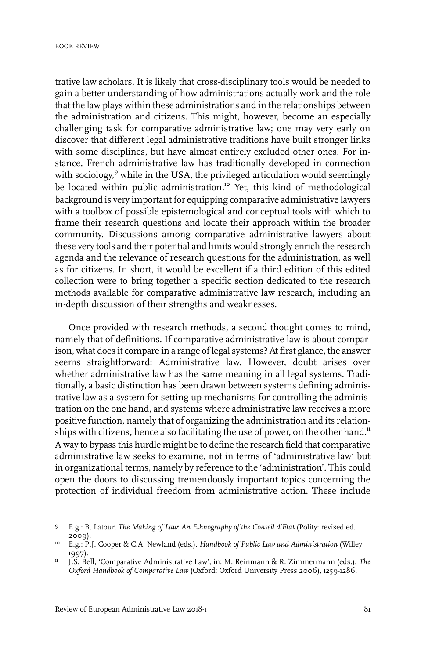trative law scholars. It is likely that cross-disciplinary tools would be needed to gain a better understanding of how administrations actually work and the role that the law plays within these administrations and in the relationships between the administration and citizens. This might, however, become an especially challenging task for comparative administrative law; one may very early on discover that different legal administrative traditions have built stronger links with some disciplines, but have almost entirely excluded other ones. For instance, French administrative law has traditionally developed in connection with sociology, <sup>9</sup> while in the USA, the privileged articulation would seemingly be located within public administration.<sup>10</sup> Yet, this kind of methodological background is very important for equipping comparative administrative lawyers with a toolbox of possible epistemological and conceptual tools with which to frame their research questions and locate their approach within the broader community. Discussions among comparative administrative lawyers about these very tools and their potential and limits would strongly enrich the research agenda and the relevance of research questions for the administration, as well as for citizens. In short, it would be excellent if a third edition of this edited collection were to bring together a specific section dedicated to the research methods available for comparative administrative law research, including an in-depth discussion of their strengths and weaknesses.

Once provided with research methods, a second thought comes to mind, namely that of definitions. If comparative administrative law is about comparison, what does it compare in a range of legal systems? At first glance, the answer seems straightforward: Administrative law. However, doubt arises over whether administrative law has the same meaning in all legal systems. Traditionally, a basic distinction has been drawn between systems defining administrative law as a system for setting up mechanisms for controlling the administration on the one hand, and systems where administrative law receives a more positive function, namely that of organizing the administration and its relationships with citizens, hence also facilitating the use of power, on the other hand.<sup>11</sup> A way to bypass this hurdle might be to define the research field that comparative administrative law seeks to examine, not in terms of 'administrative law' but in organizational terms, namely by reference to the 'administration'. This could open the doors to discussing tremendously important topics concerning the protection of individual freedom from administrative action. These include

E.g.: B. Latour, *The Making of Law: An Ethnography of the Conseil d'Etat* (Polity: revised ed. 2009). 9

E.g.: P.J. Cooper & C.A. Newland (eds.), *Handbook of Public Law and Administration* (Willey 10 1997).

J.S. Bell, 'Comparative Administrative Law', in: M. Reinmann & R. Zimmermann (eds.), *The Oxford Handbook of Comparative Law* (Oxford: Oxford University Press 2006), 1259-1286. 11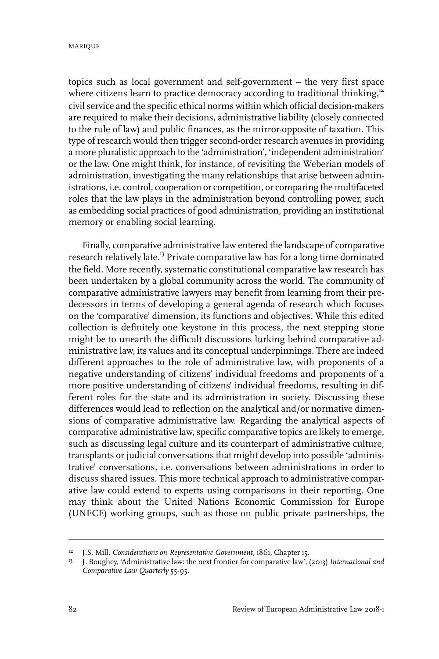MARIQUE

topics such as local government and self-government – the very first space where citizens learn to practice democracy according to traditional thinking, $12$ civil service and the specific ethical norms within which official decision-makers are required to make their decisions, administrative liability (closely connected to the rule of law) and public finances, as the mirror-opposite of taxation. This type of research would then trigger second-order research avenues in providing a more pluralistic approach to the 'administration', 'independent administration' or the law. One might think, for instance, of revisiting the Weberian models of administration, investigating the many relationships that arise between administrations, i.e. control, cooperation or competition, or comparing the multifaceted roles that the law plays in the administration beyond controlling power, such as embedding social practices of good administration, providing an institutional memory or enabling social learning.

Finally, comparative administrative law entered the landscape of comparative research relatively late.<sup>13</sup> Private comparative law has for a long time dominated the field. More recently, systematic constitutional comparative law research has been undertaken by a global community across the world. The community of comparative administrative lawyers may benefit from learning from their predecessors in terms of developing a general agenda of research which focuses on the 'comparative' dimension, its functions and objectives. While this edited collection is definitely one keystone in this process, the next stepping stone might be to unearth the difficult discussions lurking behind comparative administrative law, its values and its conceptual underpinnings. There are indeed different approaches to the role of administrative law, with proponents of a negative understanding of citizens' individual freedoms and proponents of a more positive understanding of citizens' individual freedoms, resulting in different roles for the state and its administration in society. Discussing these differences would lead to reflection on the analytical and/or normative dimensions of comparative administrative law. Regarding the analytical aspects of comparative administrative law, specific comparative topics are likely to emerge, such as discussing legal culture and its counterpart of administrative culture, transplants or judicial conversations that might develop into possible 'administrative' conversations, i.e. conversations between administrations in order to discuss shared issues. This more technical approach to administrative comparative law could extend to experts using comparisons in their reporting. One may think about the United Nations Economic Commission for Europe (UNECE) working groups, such as those on public private partnerships, the

<sup>&</sup>lt;sup>12</sup> J.S. Mill, *Considerations* on *Representative Government*, 1861, *Chapter 15*.

<sup>&</sup>lt;sup>13</sup> J. Boughey, 'Administrative law: the next frontier for comparative law', (2013) International and *Comparative Law Quarterly* 55-95.